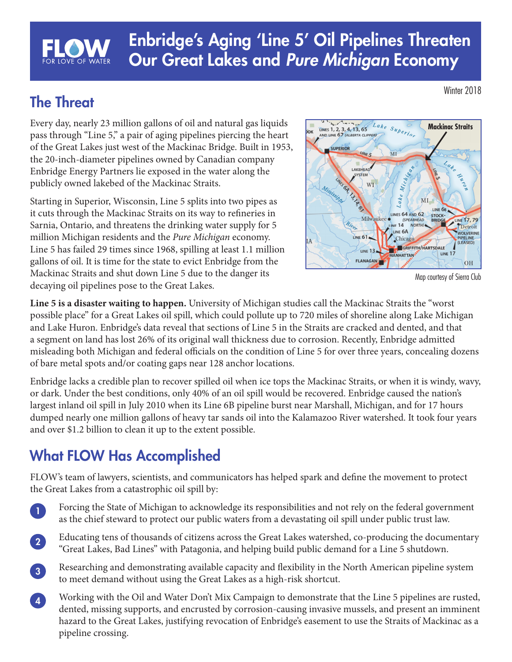# Enbridge's Aging 'Line 5' Oil Pipelines Threaten Our Great Lakes and *Pure Michigan* Economy

### The Threat

Every day, nearly 23 million gallons of oil and natural gas liquids pass through "Line 5," a pair of aging pipelines piercing the heart of the Great Lakes just west of the Mackinac Bridge. Built in 1953, the 20-inch-diameter pipelines owned by Canadian company Enbridge Energy Partners lie exposed in the water along the publicly owned lakebed of the Mackinac Straits.

Starting in Superior, Wisconsin, Line 5 splits into two pipes as it cuts through the Mackinac Straits on its way to refineries in Sarnia, Ontario, and threatens the drinking water supply for 5 million Michigan residents and the *Pure Michigan* economy. Line 5 has failed 29 times since 1968, spilling at least 1.1 million gallons of oil. It is time for the state to evict Enbridge from the Mackinac Straits and shut down Line 5 due to the danger its decaying oil pipelines pose to the Great Lakes.



Map courtesy of Sierra Club

**Line 5 is a disaster waiting to happen.** University of Michigan studies call the Mackinac Straits the "worst possible place" for a Great Lakes oil spill, which could pollute up to 720 miles of shoreline along Lake Michigan and Lake Huron. Enbridge's data reveal that sections of Line 5 in the Straits are cracked and dented, and that a segment on land has lost 26% of its original wall thickness due to corrosion. Recently, Enbridge admitted misleading both Michigan and federal officials on the condition of Line 5 for over three years, concealing dozens of bare metal spots and/or coating gaps near 128 anchor locations.

Enbridge lacks a credible plan to recover spilled oil when ice tops the Mackinac Straits, or when it is windy, wavy, or dark. Under the best conditions, only 40% of an oil spill would be recovered. Enbridge caused the nation's largest inland oil spill in July 2010 when its Line 6B pipeline burst near Marshall, Michigan, and for 17 hours dumped nearly one million gallons of heavy tar sands oil into the Kalamazoo River watershed. It took four years and over \$1.2 billion to clean it up to the extent possible.

## What FLOW Has Accomplished

FLOW's team of lawyers, scientists, and communicators has helped spark and define the movement to protect the Great Lakes from a catastrophic oil spill by:

- Forcing the State of Michigan to acknowledge its responsibilities and not rely on the federal government as the chief steward to protect our public waters from a devastating oil spill under public trust law. 1
- Educating tens of thousands of citizens across the Great Lakes watershed, co-producing the documentary "Great Lakes, Bad Lines" with Patagonia, and helping build public demand for a Line 5 shutdown. 2
- Researching and demonstrating available capacity and flexibility in the North American pipeline system to meet demand without using the Great Lakes as a high-risk shortcut. 3
- Working with the Oil and Water Don't Mix Campaign to demonstrate that the Line 5 pipelines are rusted, dented, missing supports, and encrusted by corrosion-causing invasive mussels, and present an imminent hazard to the Great Lakes, justifying revocation of Enbridge's easement to use the Straits of Mackinac as a pipeline crossing.  $\boxed{4}$

Winter 2018